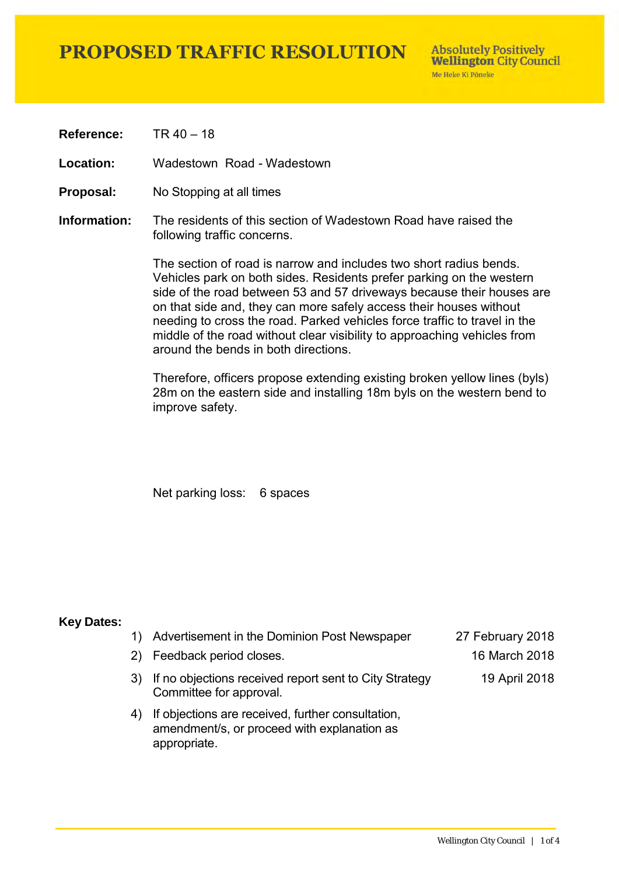## **PROPOSED TRAFFIC RESOLUTION**

**Reference:** TR 40 – 18

**Location:** Wadestown Road - Wadestown

- **Proposal:** No Stopping at all times
- **Information:** The residents of this section of Wadestown Road have raised the following traffic concerns.

The section of road is narrow and includes two short radius bends. Vehicles park on both sides. Residents prefer parking on the western side of the road between 53 and 57 driveways because their houses are on that side and, they can more safely access their houses without needing to cross the road. Parked vehicles force traffic to travel in the middle of the road without clear visibility to approaching vehicles from around the bends in both directions.

Therefore, officers propose extending existing broken yellow lines (byls) 28m on the eastern side and installing 18m byls on the western bend to improve safety.

Net parking loss: 6 spaces

#### **Key Dates:**

|    | 1) Advertisement in the Dominion Post Newspaper                                                                  | 27 February 2018 |
|----|------------------------------------------------------------------------------------------------------------------|------------------|
|    | 2) Feedback period closes.                                                                                       | 16 March 2018    |
|    | 3) If no objections received report sent to City Strategy<br>Committee for approval.                             | 19 April 2018    |
| 4) | If objections are received, further consultation,<br>amendment/s, or proceed with explanation as<br>appropriate. |                  |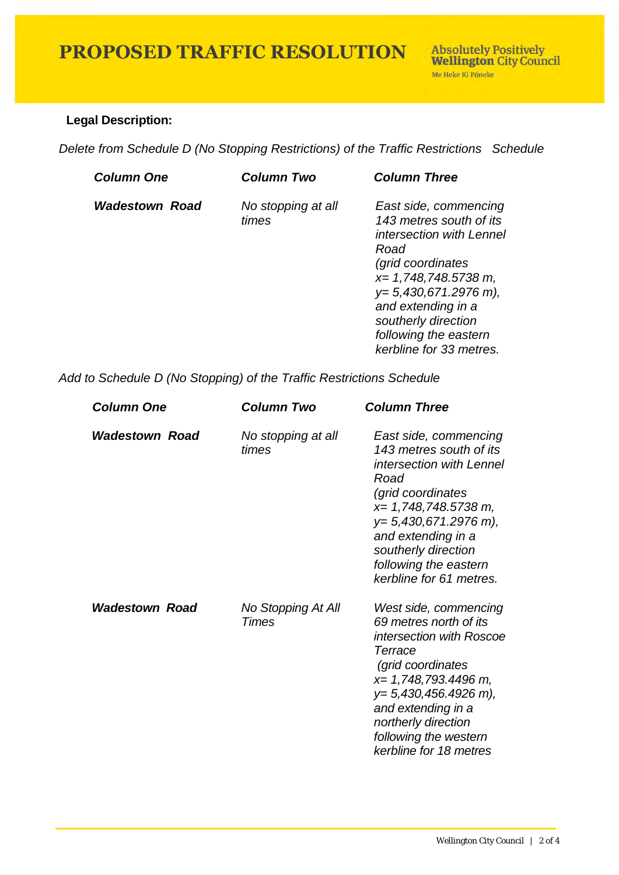# **PROPOSED TRAFFIC RESOLUTION**

### **Legal Description:**

*Delete from Schedule D (No Stopping Restrictions) of the Traffic Restrictions Schedule* 

| <b>Column One</b>     | Column Two                  | <b>Column Three</b>                                                                                                                                                                                                                                                    |
|-----------------------|-----------------------------|------------------------------------------------------------------------------------------------------------------------------------------------------------------------------------------------------------------------------------------------------------------------|
| <b>Wadestown Road</b> | No stopping at all<br>times | East side, commencing<br>143 metres south of its<br>intersection with Lennel<br>Road<br><i>(grid coordinates)</i><br>$x=$ 1,748,748.5738 m,<br>$y=5,430,671.2976$ m),<br>and extending in a<br>southerly direction<br>following the eastern<br>kerbline for 33 metres. |

*Add to Schedule D (No Stopping) of the Traffic Restrictions Schedule* 

| <b>Column One</b>     | Column Two                  | <b>Column Three</b>                                                                                                                                                                                                                                           |
|-----------------------|-----------------------------|---------------------------------------------------------------------------------------------------------------------------------------------------------------------------------------------------------------------------------------------------------------|
| <b>Wadestown Road</b> | No stopping at all<br>times | East side, commencing<br>143 metres south of its<br>intersection with Lennel<br>Road<br>(grid coordinates<br>x= 1,748,748.5738 m,<br>$y=5,430,671.2976$ m),<br>and extending in a<br>southerly direction<br>following the eastern<br>kerbline for 61 metres.  |
| <b>Wadestown Road</b> | No Stopping At All<br>Times | West side, commencing<br>69 metres north of its<br>intersection with Roscoe<br>Terrace<br>(grid coordinates<br>x= 1,748,793.4496 m,<br>$y=5,430,456.4926$ m),<br>and extending in a<br>northerly direction<br>following the western<br>kerbline for 18 metres |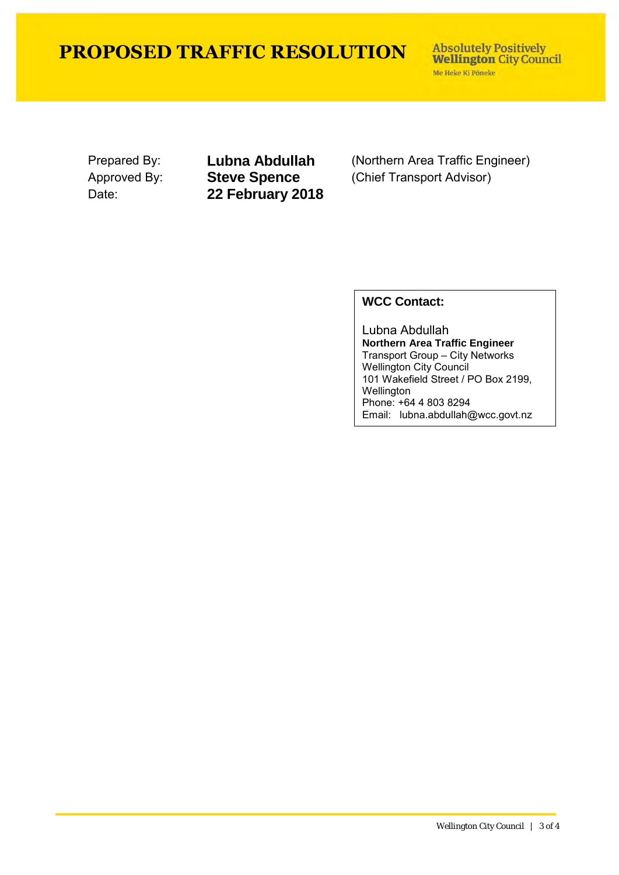## **PROPOSED TRAFFIC RESOLUTION**

**Absolutely Positively Wellington City Council** Me Heke Ki Põneke

Date: **22 February 2018**

Prepared By: **Lubna Abdullah** (Northern Area Traffic Engineer)<br>Approved By: **Steve Spence** (Chief Transport Advisor) (Chief Transport Advisor)

### **WCC Contact:**

Lubna Abdullah **Northern Area Traffic Engineer** Transport Group – City Networks Wellington City Council 101 Wakefield Street / PO Box 2199, Wellington Phone: +64 4 803 8294 Email: lubna.abdullah@wcc.govt.nz